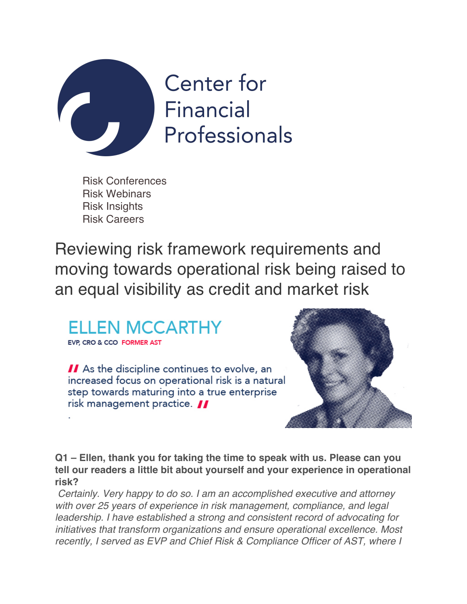

Risk Conferences Risk Webinars Risk Insights Risk Careers

Reviewing risk framework requirements and moving towards operational risk being raised to an equal visibility as credit and market risk



EVP. CRO & CCO FORMER AST

II As the discipline continues to evolve, an increased focus on operational risk is a natural step towards maturing into a true enterprise risk management practice.



**Q1 – Ellen, thank you for taking the time to speak with us. Please can you tell our readers a little bit about yourself and your experience in operational risk?**

*Certainly. Very happy to do so. I am an accomplished executive and attorney with over 25 years of experience in risk management, compliance, and legal leadership. I have established a strong and consistent record of advocating for initiatives that transform organizations and ensure operational excellence. Most recently, I served as EVP and Chief Risk & Compliance Officer of AST, where I*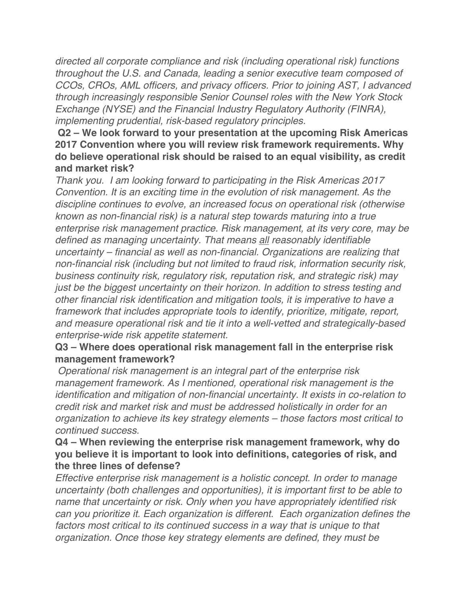*directed all corporate compliance and risk (including operational risk) functions throughout the U.S. and Canada, leading a senior executive team composed of CCOs, CROs, AML officers, and privacy officers. Prior to joining AST, I advanced through increasingly responsible Senior Counsel roles with the New York Stock Exchange (NYSE) and the Financial Industry Regulatory Authority (FINRA), implementing prudential, risk-based regulatory principles.*

**Q2 – We look forward to your presentation at the upcoming Risk Americas 2017 Convention where you will review risk framework requirements. Why do believe operational risk should be raised to an equal visibility, as credit and market risk?**

*Thank you. I am looking forward to participating in the Risk Americas 2017 Convention. It is an exciting time in the evolution of risk management. As the discipline continues to evolve, an increased focus on operational risk (otherwise known as non-financial risk) is a natural step towards maturing into a true enterprise risk management practice. Risk management, at its very core, may be defined as managing uncertainty. That means all reasonably identifiable uncertainty – financial as well as non-financial. Organizations are realizing that non-financial risk (including but not limited to fraud risk, information security risk, business continuity risk, regulatory risk, reputation risk, and strategic risk) may just be the biggest uncertainty on their horizon. In addition to stress testing and other financial risk identification and mitigation tools, it is imperative to have a framework that includes appropriate tools to identify, prioritize, mitigate, report, and measure operational risk and tie it into a well-vetted and strategically-based enterprise-wide risk appetite statement.*

## **Q3 – Where does operational risk management fall in the enterprise risk management framework?**

*Operational risk management is an integral part of the enterprise risk management framework. As I mentioned, operational risk management is the identification and mitigation of non-financial uncertainty. It exists in co-relation to credit risk and market risk and must be addressed holistically in order for an organization to achieve its key strategy elements – those factors most critical to continued success.*

## **Q4 – When reviewing the enterprise risk management framework, why do you believe it is important to look into definitions, categories of risk, and the three lines of defense?**

*Effective enterprise risk management is a holistic concept. In order to manage uncertainty (both challenges and opportunities), it is important first to be able to name that uncertainty or risk. Only when you have appropriately identified risk can you prioritize it. Each organization is different. Each organization defines the*  factors most critical to its continued success in a way that is unique to that *organization. Once those key strategy elements are defined, they must be*